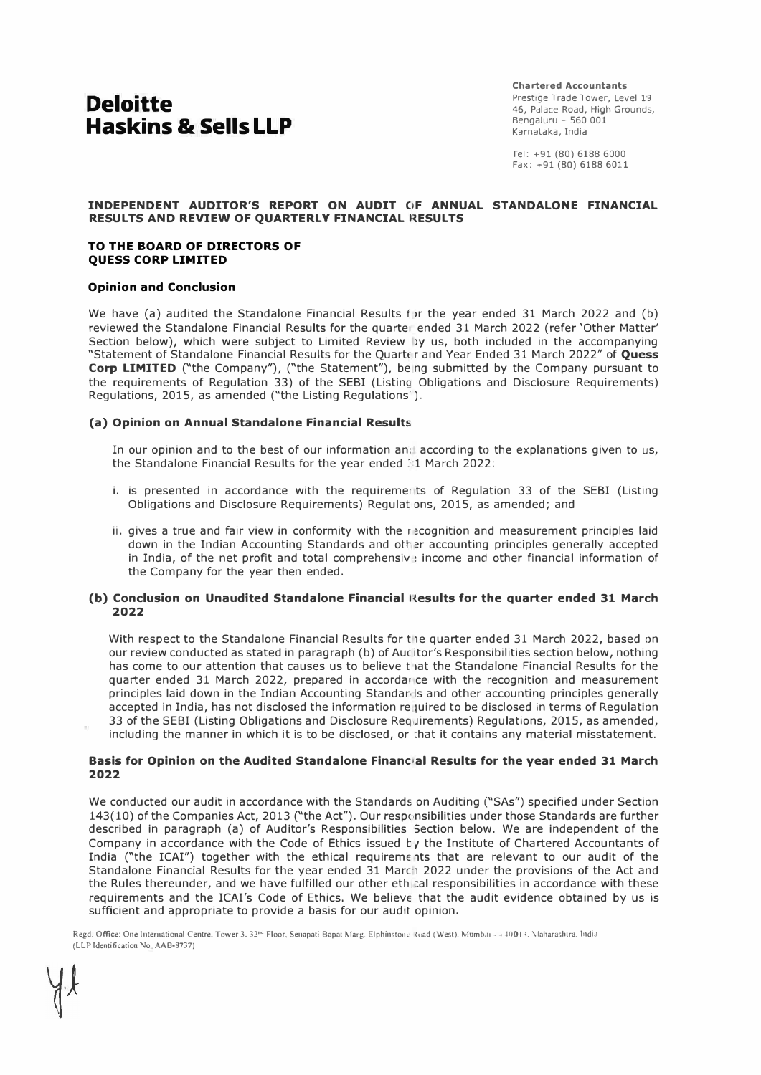# **Deloitte Haskins & Sells LLP**

**Chartered Accountants**  Prestige Trade Tower, Level 19 46, Palace Road, High Grounds, Bengaluru - 560 001 Karnataka, India

Tel: +91 (80) 6188 6000 Fax: +91 (80) 6188 6011

#### **INDEPENDENT AUDITOR'S REPORT ON AUDIT C1F ANNUAL STANDALONE FINANCIAL RESULTS AND REVIEW OF QUARTERLY FINANCIAL RESULTS**

#### **TO THE BOARD OF DIRECTORS OF QUESS CORP LIMITED**

#### **Opinion and Conclusion**

We have (a) audited the Standalone Financial Results for the year ended 31 March 2022 and (b) reviewed the Standalone Financial Results for the quarter ended 31 March 2022 (refer 'Other Matter' Section below), which were subject to Limited Review by us, both included in the accompanying "Statement of Standalone Financial Results for the Quarter and Year Ended 31 March 2022" of Quess **Corp LIMITED** ("the Company"), ("the Statement"), be ng submitted by the Company pursuant to the requirements of Regulation 33) of the SEBI (Listing Obligations and Disclosure Requirements) Regulations, 2015, as amended ("the Listing Regulations').

#### **(a) Opinion on Annual Standalone Financial Results**

In our opinion and to the best of our information and according to the explanations given to us, the Standalone Financial Results for the year ended 31 March 2022:

- i. is presented in accordance with the requirements of Requlation 33 of the SEBI (Listing Obligations and Disclosure Requirements) Regulations, 2015, as amended; and
- ii. gives a true and fair view in conformity with the recognition and measurement principles laid down in the Indian Accounting Standards and other accounting principles generally accepted in India, of the net profit and total comprehensiv  $\cdot$  income and other financial information of the Company for the year then ended.

#### **(b) Conclusion on Unaudited Standalone Financial l{esults for the quarter ended 31 March 2022**

With respect to the Standalone Financial Results for the quarter ended 31 March 2022, based on our review conducted as stated in paragraph (b) of Auditor's Responsibilities section below, nothing has come to our attention that causes us to believe that the Standalone Financial Results for the quarter ended 31 March 2022, prepared in accordar ce with the recognition and measurement principles laid down in the Indian Accounting Standards and other accounting principles generally accepted in India, has not disclosed the information required to be disclosed in terms of Regulation 33 of the SEBI (Listing Obligations and Disclosure Req Jirements) Regulations, 2015, as amended, including the manner in which it is to be disclosed, or that it contains any material misstatement.

#### **Basis for Opinion on the Audited Standalone Financ;al Results for the year ended 31 March 2022**

We conducted our audit in accordance with the Standards on Auditing ("SAs") specified under Section 143(10) of the Companies Act, 2013 ("the Act"). Our respc nsibilities under those Standards are further described in paragraph (a) of Auditor's Responsibilities Section below. We are independent of the Company in accordance with the Code of Ethics issued by the Institute of Chartered Accountants of India ("the ICAI") together with the ethical requirements that are relevant to our audit of the Standalone Financial Results for the year ended 31 March 2022 under the provisions of the Act and the Rules thereunder, and we have fulfilled our other ethical responsibilities in accordance with these requirements and the ICAI's Code of Ethics. We believe that the audit evidence obtained by us is sufficient and appropriate to provide a basis for our audit opinion.

Regd: Office: One International Centre. Tower 3, 32<sup>nd</sup> Floor, Senapati Bapat Marg. Elphinstone Road (West). Mumb.n - 4 40013. Maharashtra. India **(LLP Identification No AAB-8737)**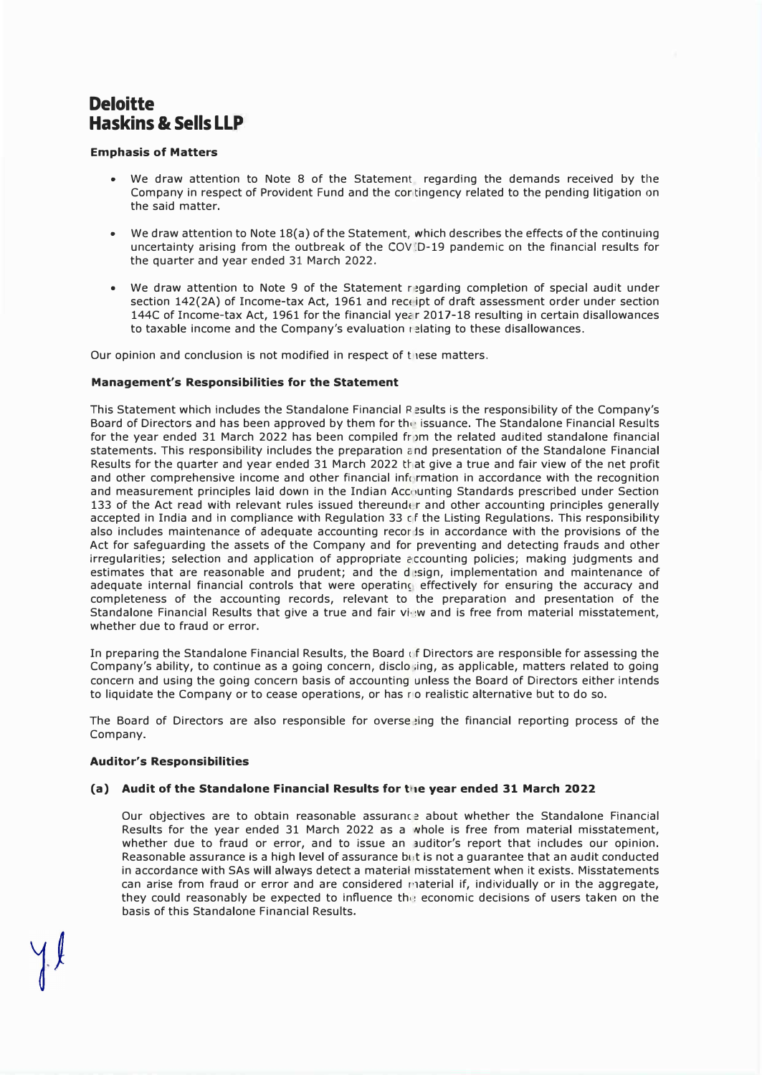## **Deloitte Haskins & Sells LLP**

### **Emphasis of Matters**

- We draw attention to Note 8 of the Statement regarding the demands received by the Company in respect of Provident Fund and the cor ting ency related to the pending litigation on the said matter.
- We draw attention to Note 18(a) of the Statement, which describes the effects of the continuing uncertainty arising from the outbreak of the COV(D-19 pandemic on the financial results for the quarter and year ended 31 March 2022.
- We draw attention to Note 9 of the Statement r �garding completion of special audit under section 142(2A) of Income-tax Act, 1961 and receipt of draft assessment order under section 144C of Income-tax Act, 1961 for the financial year 2017-18 resulting in certain disallowances to taxable income and the Company's evaluation relating to these disallowances.

Our opinion and conclusion is not modified in respect of these matters.

### **Management's Responsibilities for the Statement**

This Statement which includes the Standalone Financial Results is the responsibility of the Company's Board of Directors and has been approved by them for the issuance. The Standalone Financial Results for the year ended 31 March 2022 has been compiled from the related audited standalone financial statements. This responsibility includes the preparation end presentation of the Standalone Financial Results for the quarter and year ended 31 March 2022 that give a true and fair view of the net profit and other comprehensive income and other financial information in accordance with the recognition and measurement principles laid down in the Indian Accounting Standards prescribed under Section 133 of the Act read with relevant rules issued thereunder and other accounting principles generally accepted in India and in compliance with Regulation 33 cf the Listing Regulations. This responsibility also includes maintenance of adequate accounting recor ls in accordance with the provisions of the Act for safeguarding the assets of the Company and for preventing and detecting frauds and other irregularities; selection and application of appropriate accounting policies; making judgments and estimates that are reasonable and prudent; and the disign, implementation and maintenance of adequate internal financial controls that were operating effectively for ensuring the accuracy and completeness of the accounting records, relevant to the preparation and presentation of the Standalone Financial Results that give a true and fair view and is free from material misstatement, whether due to fraud or error.

In preparing the Standalone Financial Results, the Board of Directors are responsible for assessing the Company's ability, to continue as a going concern, disclo ;ing, as applicable, matters related to going concern and using the going concern basis of accounting unless the Board of Directors either intends to liquidate the Company or to cease operations, or has rio realistic alternative but to do so.

The Board of Directors are also responsible for overse ing the financial reporting process of the Company.

#### **Auditor's Responsibilities**

## (a) Audit of the Standalone Financial Results for the year ended 31 March 2022

Our objectives are to obtain reasonable assurance about whether the Standalone Financial Results for the year ended 31 March 2022 as a whole is free from material misstatement, whether due to fraud or error, and to issue an auditor's report that includes our opinion. Reasonable assurance is a high level of assurance but is not a quarantee that an audit conducted in accordance with SAs will always detect a material misstatement when it exists. Misstatements can arise from fraud or error and are considered material if, individually or in the aggregate, they could reasonably be expected to influence the economic decisions of users taken on the basis of this Standalone Financial Results.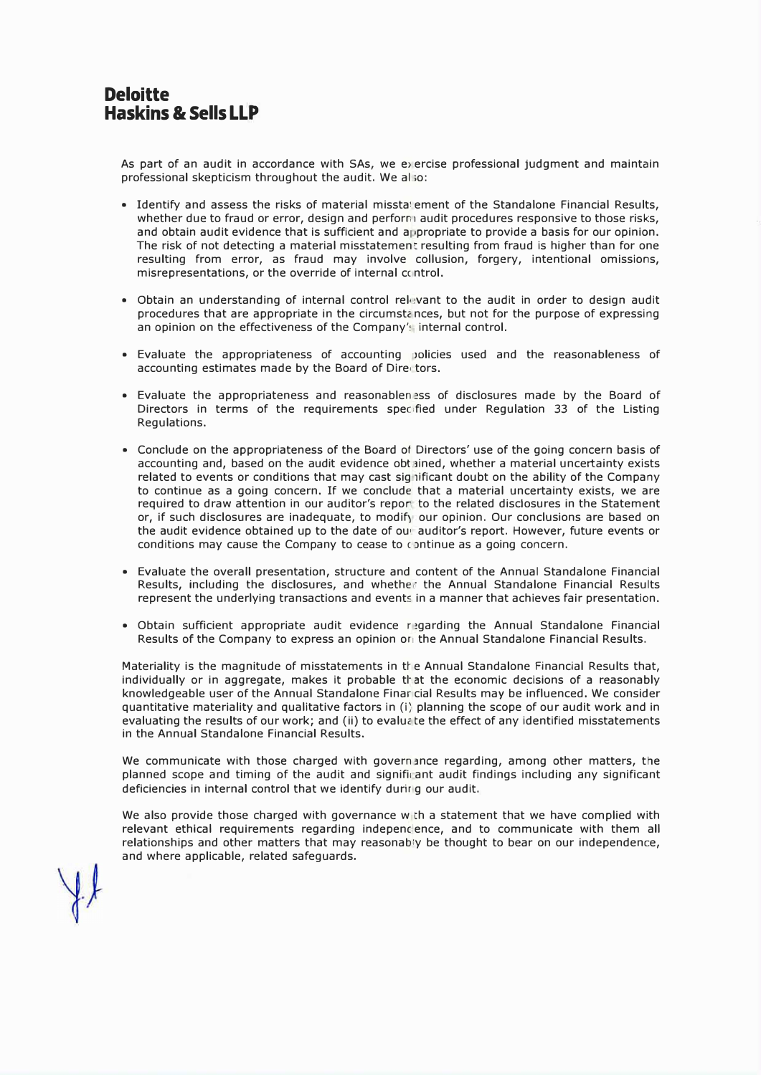As part of an audit in accordance with SAs, we e> ercise professional judgment and maintain professional skepticism throughout the audit. We al ;o:

- Identify and assess the risks of material misstatement of the Standalone Financial Results, whether due to fraud or error, design and perform audit procedures responsive to those risks, and obtain audit evidence that is sufficient and appropriate to provide a basis for our opinion. The risk of not detecting a material misstatement resulting from fraud is higher than for one resulting from error, as fraud may involve collusion, forgery, intentional omissions, misrepresentations, or the override of internal ccintrol.
- Obtain an understanding of internal control relevant to the audit in order to design audit procedures that are appropriate in the circumstances, but not for the purpose of expressing an opinion on the effectiveness of the Company's internal control.
- Evaluate the appropriateness of accounting JOlicies used and the reasonableness of accounting estimates made by the Board of Dire tors.
- Evaluate the appropriateness and reasonablen �ss of disclosures made by the Board of Directors in terms of the requirements spec fied under Requlation 33 of the Listing Regulations.
- Conclude on the appropriateness of the Board of Directors' use of the going concern basis of accounting and, based on the audit evidence obtained, whether a material uncertainty exists related to events or conditions that may cast significant doubt on the ability of the Company to continue as a going concern. If we conclude that a material uncertainty exists, we are required to draw attention in our auditor's repor to the related disclosures in the Statement or, if such disclosures are inadequate, to modify our opinion. Our conclusions are based on the audit evidence obtained up to the date of out auditor's report. However, future events or conditions may cause the Company to cease to continue as a going concern.
- Evaluate the overall presentation, structure and content of the Annual Standalone Financial Results, including the disclosures, and whether the Annual Standalone Financial Results represent the underlying transactions and events in a manner that achieves fair presentation.
- Obtain sufficient appropriate audit evidence regarding the Annual Standalone Financial Results of the Company to express an opinion or the Annual Standalone Financial Results.

Materiality is the magnitude of misstatements in the Annual Standalone Financial Results that, individually or in aggregate, makes it probable that the economic decisions of a reasonably knowledgeable user of the Annual Standalone Finar cial Results may be influenced. We consider quantitative materiality and qualitative factors in (i; planning the scope of our audit work and in evaluating the results of our work; and (ii) to evaluate the effect of any identified misstatements in the Annual Standalone Financial Results.

We communicate with those charged with governance regarding, among other matters, the planned scope and timing of the audit and signifii ant audit findings including any significant deficiencies in internal control that we identify durirlg our audit.

We also provide those charged with governance w th a statement that we have complied with relevant ethical requirements regarding independence, and to communicate with them all relationships and other matters that may reasonably be thought to bear on our independence, and where applicable, related safeguards.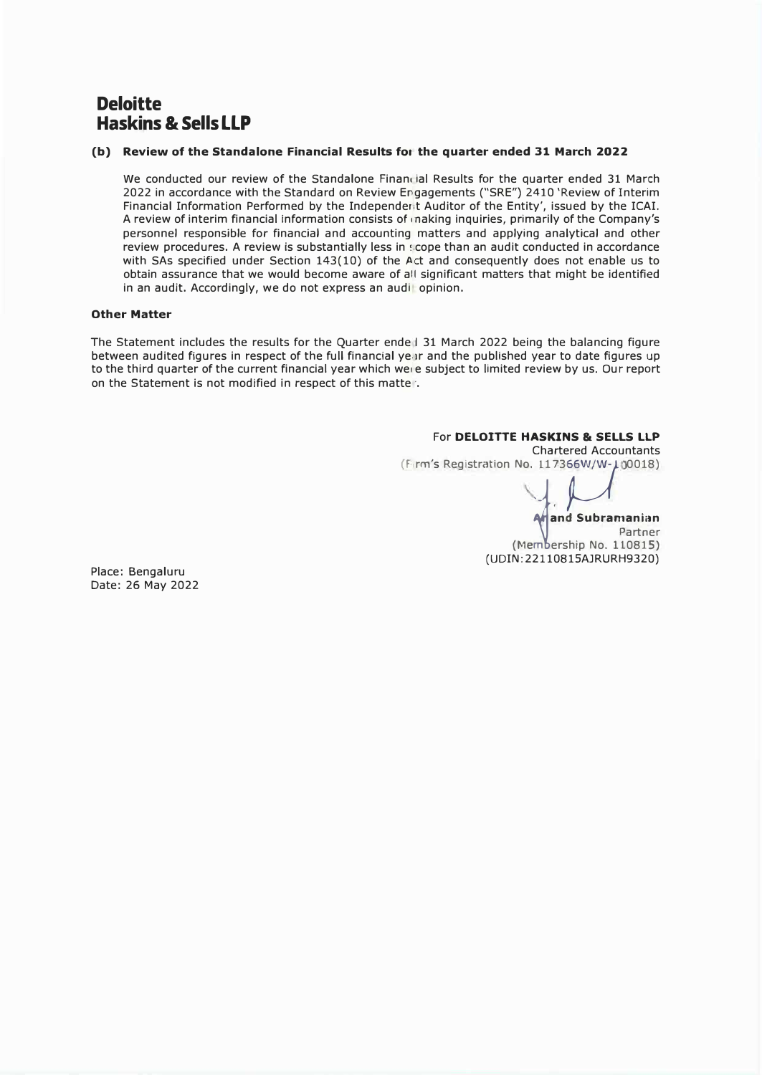## **Deloitte Haskins & Sells LLP**

## **(b) Review of the Standalone Financial Results for the quarter ended 31 March 2022**

We conducted our review of the Standalone Financial Results for the quarter ended 31 March 2022 in accordance with the Standard on Review Engagements ("SRE") 2410 'Review of Interim Financial Information Performed by the Independerit Auditor of the Entity', issued by the ICAI. A review of interim financial information consists of making inquiries, primarily of the Company's personnel responsible for financial and accounting matters and applying analytical and other review procedures. A review is substantially less in scope than an audit conducted in accordance with SAs specified under Section 143(10) of the Act and consequently does not enable us to obtain assurance that we would become aware of all significant matters that might be identified in an audit. Accordingly, we do not express an audit opinion.

### **Other Matter**

The Statement includes the results for the Quarter ende I 31 March 2022 being the balancing figure between audited figures in respect of the full financial ye.ir and the published year to date figures up to the third quarter of the current financial year which we, e subject to limited review by us. Our report on the Statement is not modified in respect of this matter.

#### For **DELOITTE HASKINS** & **SELLS LLP**  Chartered Accountants

F. rm's Registration No. 117366W/W-100018)

**jand Subramanian** 

Partner  $(Membership No. 110815)$ (UDIN: 22110815AJRURH9320)

Place: Bengaluru Date: 26 May 2022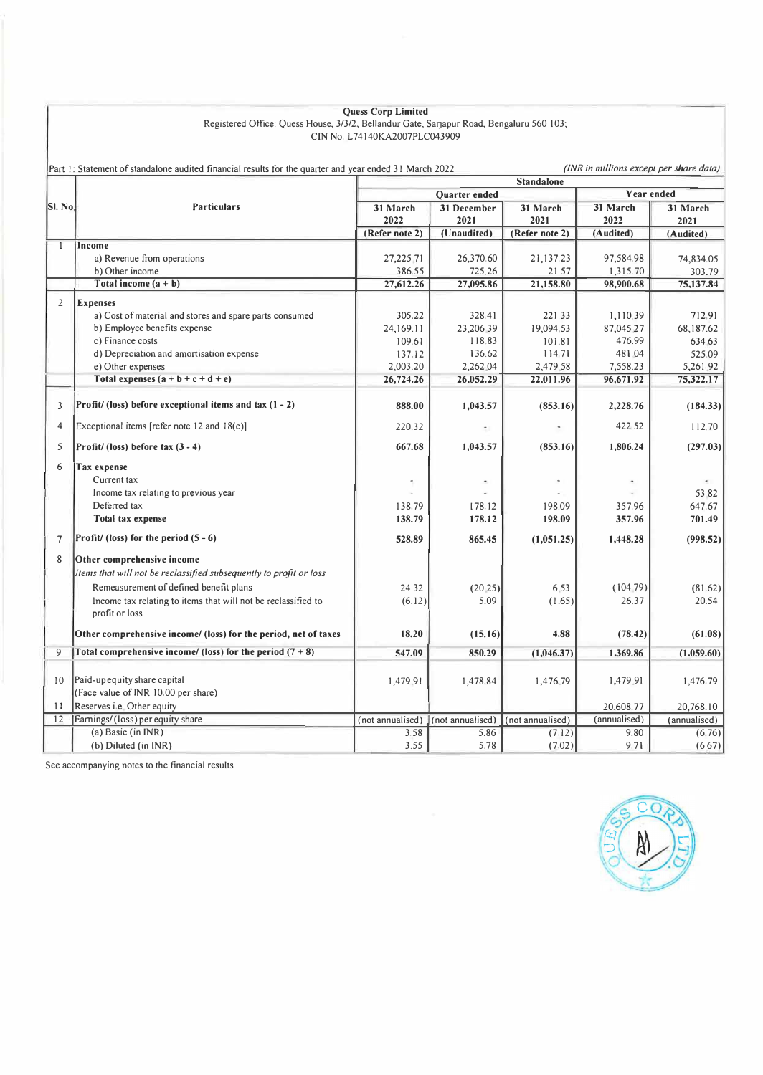| <b>Ouess Corp Limited</b> |                                                                                          |  |  |  |  |
|---------------------------|------------------------------------------------------------------------------------------|--|--|--|--|
|                           | Registered Office: Quess House, 3/3/2, Bellandur Gate, Sarjapur Road, Bengaluru 560 103; |  |  |  |  |
|                           | CIN No. L74140KA2007PLC043909                                                            |  |  |  |  |

|                | Part 1: Statement of standalone audited financial results for the quarter and year ended 31 March 2022 |                   |                          |                  | (INR in millions except per share data) |              |  |
|----------------|--------------------------------------------------------------------------------------------------------|-------------------|--------------------------|------------------|-----------------------------------------|--------------|--|
|                |                                                                                                        | <b>Standalone</b> |                          |                  |                                         |              |  |
|                |                                                                                                        | Quarter ended     |                          |                  | <b>Year ended</b>                       |              |  |
| SI. No.        | <b>Particulars</b>                                                                                     | 31 March          | 31 December              | 31 March         | 31 March                                | 31 March     |  |
|                |                                                                                                        | 2022              | 2021                     | 2021             | 2022                                    | 2021         |  |
|                |                                                                                                        | (Refer note 2)    | (Unaudited)              | (Refer note 2)   | (Audited)                               | (Audited)    |  |
| 1              | <b>Income</b>                                                                                          |                   |                          |                  |                                         |              |  |
|                | a) Revenue from operations                                                                             | 27,225 71         | 26,370.60                | 21,137.23        | 97,584.98                               | 74,834.05    |  |
|                | b) Other income                                                                                        | 386.55            | 725.26                   | 21.57            | 1,315.70                                | 303.79       |  |
|                | Total income $(a + b)$                                                                                 | 27,612.26         | 27,095.86                | 21,158.80        | 98,900.68                               | 75,137.84    |  |
| $\overline{2}$ | <b>Expenses</b>                                                                                        |                   |                          |                  |                                         |              |  |
|                | a) Cost of material and stores and spare parts consumed                                                | 305.22            | 328.41                   | 221.33           | 1,110.39                                | 712.91       |  |
|                | b) Employee benefits expense                                                                           | 24,169.11         | 23,206.39                | 19,094.53        | 87,045 27                               | 68,187.62    |  |
|                | c) Finance costs                                                                                       | 109.61            | 118.83                   | 101.81           | 476.99                                  | 634 63       |  |
|                | d) Depreciation and amortisation expense                                                               | 137.12            | 136.62                   | 114.71           | 481 04                                  | 525.09       |  |
|                | e) Other expenses                                                                                      | 2,003.20          | 2,262.04                 | 2,479 58         | 7,558.23                                | 5,261.92     |  |
|                | Total expenses $(a + b + c + d + e)$                                                                   | 26,724.26         | 26,052.29                | 22,011.96        | 96,671.92                               | 75,322.17    |  |
|                |                                                                                                        |                   |                          |                  |                                         |              |  |
| 3              | Profit/ (loss) before exceptional items and tax $(1 - 2)$                                              | 888.00            | 1,043.57                 | (853.16)         | 2,228.76                                | (184.33)     |  |
| $\overline{4}$ | Exceptional items [refer note 12 and $18(c)$ ]                                                         | 220.32            |                          |                  | 422 52                                  | 112.70       |  |
| 5              | Profit/ (loss) before tax $(3 - 4)$                                                                    | 667.68            | 1,043.57                 | (853.16)         | 1,806.24                                | (297.03)     |  |
| 6              | <b>Tax expense</b>                                                                                     |                   |                          |                  |                                         |              |  |
|                | Current tax                                                                                            | Ť.                | $\overline{\phantom{a}}$ | $\blacksquare$   | $\overline{\phantom{a}}$                |              |  |
|                | Income tax relating to previous year                                                                   |                   |                          |                  |                                         | 53 82        |  |
|                | Deferred tax                                                                                           | 138.79            | 178.12                   | 198.09           | 357.96                                  | 647.67       |  |
|                | Total tax expense                                                                                      | 138.79            | 178.12                   | 198.09           | 357.96                                  | 701.49       |  |
|                |                                                                                                        |                   |                          |                  |                                         |              |  |
| $\overline{7}$ | $\text{Profit}$ (loss) for the period $(5 - 6)$                                                        | 528.89            | 865.45                   | (1,051.25)       | 1,448.28                                | (998.52)     |  |
| 8              | Other comprehensive income                                                                             |                   |                          |                  |                                         |              |  |
|                | Items that will not be reclassified subsequently to profit or loss                                     |                   |                          |                  |                                         |              |  |
|                | Remeasurement of defined benefit plans                                                                 | 24.32             | (20.25)                  | 6.53             | (10479)                                 | (81.62)      |  |
|                | Income tax relating to items that will not be reclassified to                                          | (6.12)            | 5.09                     | (1.65)           | 26.37                                   | 20.54        |  |
|                | profit or loss                                                                                         |                   |                          |                  |                                         |              |  |
|                |                                                                                                        |                   |                          |                  |                                         |              |  |
|                | Other comprehensive income/ (loss) for the period, net of taxes                                        | 18.20             | (15.16)                  | 4.88             | (78.42)                                 | (61.08)      |  |
| 9              | Total comprehensive income/ (loss) for the period $(7 + 8)$                                            | 547.09            | 850.29                   | (1,046.37)       | 1.369.86                                | (1.059.60)   |  |
|                |                                                                                                        |                   |                          |                  |                                         |              |  |
| 10             | Paid-up equity share capital                                                                           | 1,479.91          | 1,478.84                 | 1,476.79         | 1,479 91                                | 1,476.79     |  |
|                | (Face value of INR 10.00 per share)                                                                    |                   |                          |                  |                                         |              |  |
| 11             | Reserves i.e. Other equity                                                                             |                   |                          |                  | 20,608.77                               | 20,768.10    |  |
| 12             | Earnings/(loss) per equity share                                                                       | (not annualised)  | (not annualised)         | (not annualised) | (annualised)                            | (annualised) |  |
|                | (a) Basic (in INR)                                                                                     | 3.58              | 5.86                     | (7.12)           | 9.80                                    | (6.76)       |  |
|                | (b) Diluted (in INR)                                                                                   | 3.55              | 5.78                     | (7.02)           | 9.71                                    | (6.67)       |  |

See accompanying notes to the financial results

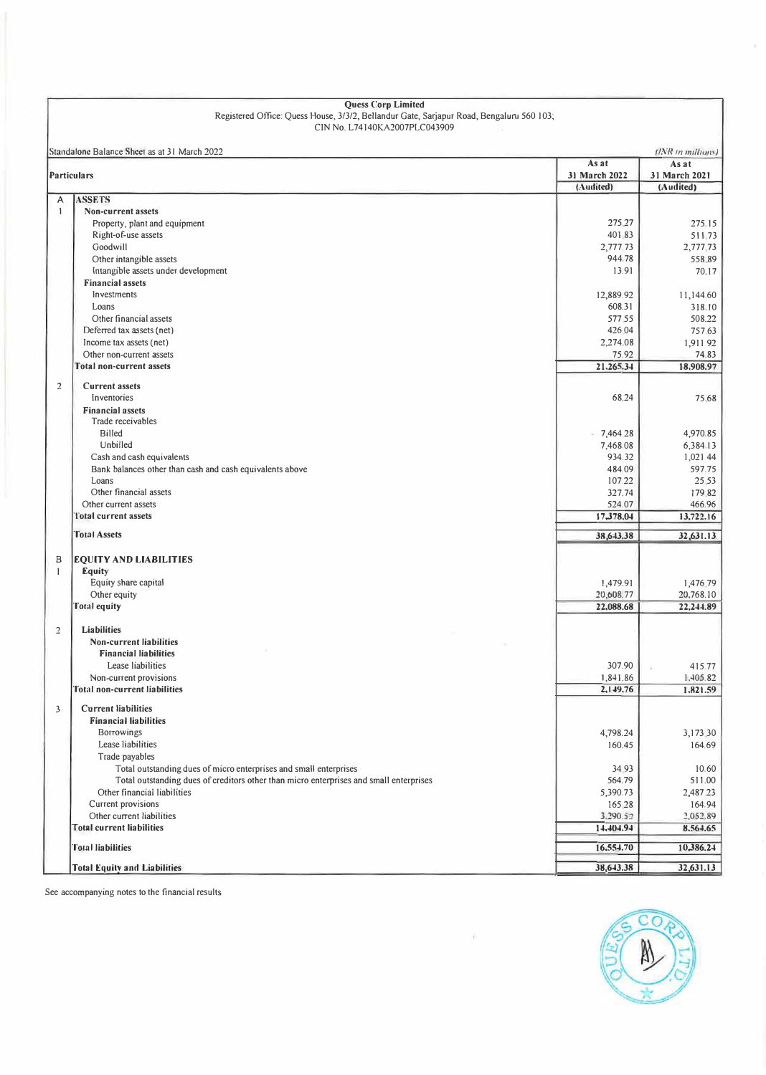| <b>Quess Corp Limited</b>                                                                |                 |                   |  |  |  |  |
|------------------------------------------------------------------------------------------|-----------------|-------------------|--|--|--|--|
| Registered Office: Quess House, 3/3/2, Bellandur Gate, Sarjapur Road, Bengaluru 560 103; |                 |                   |  |  |  |  |
| CIN No L74140KA2007PLC043909                                                             |                 |                   |  |  |  |  |
| Standalone Balance Sheet as at 31 March 2022                                             |                 | (INR in millions) |  |  |  |  |
|                                                                                          | As at           | As at             |  |  |  |  |
| <b>Particulars</b>                                                                       | 31 March 2022   | 31 March 2021     |  |  |  |  |
|                                                                                          | (Audited)       | (Audited)         |  |  |  |  |
| <b>ASSETS</b><br>A                                                                       |                 |                   |  |  |  |  |
| $\mathbf{1}$<br><b>Non-current assets</b>                                                |                 |                   |  |  |  |  |
| Property, plant and equipment                                                            | 275 27          | 275.15            |  |  |  |  |
| Right-of-use assets                                                                      | 401.83          | 511.73            |  |  |  |  |
| Goodwill                                                                                 | 2,777.73        | 2,777.73          |  |  |  |  |
| Other intangible assets<br>Intangible assets under development                           | 944.78<br>13.91 | 558 89<br>70.17   |  |  |  |  |
| <b>Financial assets</b>                                                                  |                 |                   |  |  |  |  |
| Investments                                                                              | 12,889.92       | 11,144.60         |  |  |  |  |
| Loans                                                                                    | 608.31          | 318.10            |  |  |  |  |
| Other financial assets                                                                   | 577 55          | 508.22            |  |  |  |  |
| Deferred tax assets (net)                                                                | 426.04          | 757.63            |  |  |  |  |
| Income tax assets (net)                                                                  | 2,274.08        | 1,911.92          |  |  |  |  |
| Other non-current assets                                                                 | 75.92           | 74.83             |  |  |  |  |
| <b>Total non-current assets</b>                                                          | 21,265.34       | 18,908.97         |  |  |  |  |
|                                                                                          |                 |                   |  |  |  |  |
| $\overline{2}$<br><b>Current assets</b>                                                  |                 |                   |  |  |  |  |
| Inventories                                                                              | 68.24           | 75.68             |  |  |  |  |
| <b>Financial assets</b><br>Trade receivables                                             |                 |                   |  |  |  |  |
| <b>Billed</b>                                                                            | 7,464.28        | 4,970.85          |  |  |  |  |
| Unbilled                                                                                 | 7,468.08        | 6,384.13          |  |  |  |  |
| Cash and cash equivalents                                                                | 934.32          | 1,021.44          |  |  |  |  |
| Bank balances other than cash and cash equivalents above                                 | 484.09          | 597.75            |  |  |  |  |
| Loans                                                                                    | 107.22          | 25.53             |  |  |  |  |
| Other financial assets                                                                   | 327.74          | 17982             |  |  |  |  |
| Other current assets                                                                     | 524.07          | 466.96            |  |  |  |  |
| Total current assets                                                                     | 17,378.04       | 13,722.16         |  |  |  |  |
| <b>Total Assets</b>                                                                      |                 |                   |  |  |  |  |
|                                                                                          | 38,643,38       | 32,631.13         |  |  |  |  |
| B<br><b>EQUITY AND LIABILITIES</b>                                                       |                 |                   |  |  |  |  |
| Equity<br>1                                                                              |                 |                   |  |  |  |  |
| Equity share capital                                                                     | 1,479.91        | 1,476.79          |  |  |  |  |
| Other equity                                                                             | 20,608.77       | 20,768.10         |  |  |  |  |
| <b>Total equity</b>                                                                      | 22,088.68       | 22,244.89         |  |  |  |  |
|                                                                                          |                 |                   |  |  |  |  |
| <b>Liabilities</b><br>$\overline{2}$                                                     |                 |                   |  |  |  |  |
| <b>Non-current liabilities</b>                                                           |                 |                   |  |  |  |  |
| <b>Financial liabilities</b>                                                             |                 |                   |  |  |  |  |
| Lease liabilities                                                                        | 307.90          | 415.77            |  |  |  |  |
| Non-current provisions                                                                   | 1,841.86        | 1,405.82          |  |  |  |  |
| Total non-current liabilities                                                            | 2,149.76        | 1,821.59          |  |  |  |  |
| $\overline{\mathbf{3}}$<br><b>Current liabilities</b>                                    |                 |                   |  |  |  |  |
| <b>Financial liabilities</b>                                                             |                 |                   |  |  |  |  |
| <b>Borrowings</b>                                                                        | 4,798.24        | 3,173 30          |  |  |  |  |
| Lease liabilities                                                                        | 160.45          | 164.69            |  |  |  |  |
| Trade payables                                                                           |                 |                   |  |  |  |  |
| Total outstanding dues of micro enterprises and small enterprises                        | 34 93           | 10.60             |  |  |  |  |
| Total outstanding dues of creditors other than micro enterprises and small enterprises   | 564.79          | 511.00            |  |  |  |  |
| Other financial liabilities                                                              | 5,390.73        | 2,487.23          |  |  |  |  |
| Current provisions                                                                       | 165 28          | 164.94            |  |  |  |  |
| Other current liabilities                                                                | 3.290.52        | 2,052.89          |  |  |  |  |
| <b>Total current liabilities</b>                                                         | 14,404.94       | 8,564.65          |  |  |  |  |
| <b>Total liabilities</b>                                                                 | 16,554.70       | 10,386.24         |  |  |  |  |
|                                                                                          |                 |                   |  |  |  |  |

See accompanying notes to the financial results

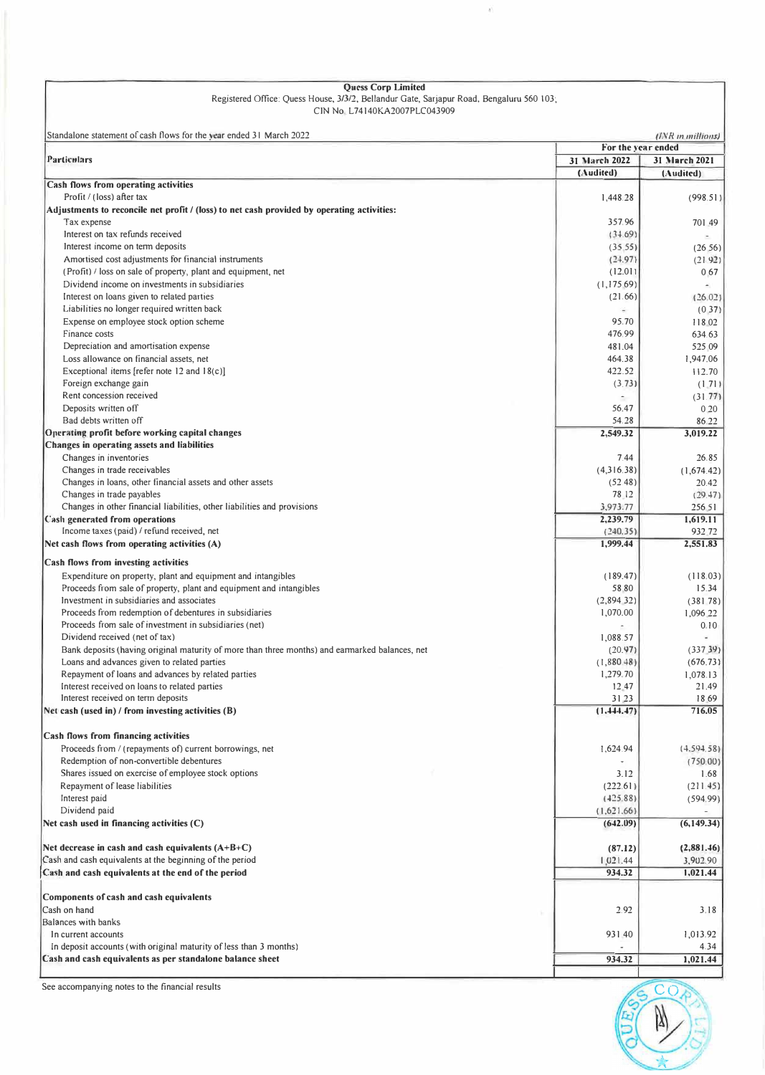| <b>Ouess Corp Limited</b>                                                                |
|------------------------------------------------------------------------------------------|
| Registered Office: Quess House, 3/3/2, Bellandur Gate, Sarjapur Road, Bengaluru 560 103; |
| CIN No L74140KA2007PLC043909                                                             |

ă)

| Standalone statement of cash flows for the vear ended 31 March 2022                                                                           | (INR in millions)                 |                            |  |
|-----------------------------------------------------------------------------------------------------------------------------------------------|-----------------------------------|----------------------------|--|
| Particulars                                                                                                                                   | For the year ended                |                            |  |
|                                                                                                                                               | <b>31 March 2022</b><br>(Audited) | 31 March 2021<br>(Audited) |  |
| <b>Cash flows from operating activities</b>                                                                                                   |                                   |                            |  |
| Profit / (loss) after tax                                                                                                                     | 1,448.28                          | (998.51)                   |  |
| Adjustments to reconcile net profit / (loss) to net cash provided by operating activities:                                                    |                                   |                            |  |
| Tax expense                                                                                                                                   | 357.96                            | 701 49                     |  |
| Interest on tax refunds received                                                                                                              | (34.69)                           |                            |  |
| Interest income on term deposits                                                                                                              | (35.55)                           | (26, 56)                   |  |
| Amortised cost adjustments for financial instruments                                                                                          | (24.97)                           | (21.92)                    |  |
| (Profit) / loss on sale of property, plant and equipment, net                                                                                 | (12.01)                           | 0.67                       |  |
| Dividend income on investments in subsidiaries                                                                                                | (1,17569)                         | $\overline{\phantom{a}}$   |  |
| Interest on loans given to related parties<br>Liabilities no longer required written back                                                     | (21.66)<br>÷                      | (26.02)                    |  |
| Expense on employee stock option scheme                                                                                                       | 95.70                             | (0.37)<br>118 02           |  |
| Finance costs                                                                                                                                 | 476.99                            | 634.63                     |  |
| Depreciation and amortisation expense                                                                                                         | 481.04                            | 525 09                     |  |
| Loss allowance on financial assets, net                                                                                                       | 464.38                            | 1,947.06                   |  |
| Exceptional items [refer note 12 and 18(c)]                                                                                                   | 422.52                            | 112.70                     |  |
| Foreign exchange gain                                                                                                                         | (3.73)                            | (1.71)                     |  |
| Rent concession received                                                                                                                      |                                   | (31.77)                    |  |
| Deposits written off                                                                                                                          | 56.47                             | 0.20                       |  |
| Bad debts written off                                                                                                                         | 54.28                             | 86.22                      |  |
| Operating profit before working capital changes                                                                                               | 2,549.32                          | 3,019.22                   |  |
| Changes in operating assets and liabilities                                                                                                   |                                   |                            |  |
| Changes in inventories                                                                                                                        | 7.44                              | 26.85                      |  |
| Changes in trade receivables                                                                                                                  | (4,316,38)                        | (1,674.42)                 |  |
| Changes in loans, other financial assets and other assets                                                                                     | (52.48)                           | 20.42                      |  |
| Changes in trade payables                                                                                                                     | 78.12                             | (29.47)                    |  |
| Changes in other financial liabilities, other liabilities and provisions                                                                      | 3,973.77                          | 256 51                     |  |
| <b>Cash generated from operations</b>                                                                                                         | 2,239.79                          | 1,619.11                   |  |
| Income taxes (paid) / refund received, net<br>Net cash flows from operating activities (A)                                                    | (240.35)<br>1,999.44              | 932.72<br>2,551.83         |  |
|                                                                                                                                               |                                   |                            |  |
| <b>Cash flows from investing activities</b>                                                                                                   |                                   |                            |  |
| Expenditure on property, plant and equipment and intangibles                                                                                  | (189.47)                          | (118.03)                   |  |
| Proceeds from sale of property, plant and equipment and intangibles                                                                           | 58.80                             | 15.34                      |  |
| Investment in subsidiaries and associates                                                                                                     | (2,894,32)                        | (381.78)                   |  |
| Proceeds from redemption of debentures in subsidiaries                                                                                        | 1,070.00                          | 1,096.22                   |  |
| Proceeds from sale of investment in subsidiaries (net)                                                                                        |                                   | 0.10                       |  |
| Dividend received (net of tax)                                                                                                                | 1,088.57                          |                            |  |
| Bank deposits (having original maturity of more than three months) and earmarked balances, net<br>Loans and advances given to related parties | (20.97)<br>(1,880.48)             | (337.39)<br>(676.73)       |  |
| Repayment of loans and advances by related parties                                                                                            | 1,279.70                          | 1,078.13                   |  |
| Interest received on loans to related parties                                                                                                 | 12.47                             | 21.49                      |  |
| Interest received on term deposits                                                                                                            | 31.23                             | 18.69                      |  |
| Net cash (used in) / from investing activities (B)                                                                                            | (1, 444, 47)                      | 716.05                     |  |
|                                                                                                                                               |                                   |                            |  |
| <b>Cash flows from financing activities</b>                                                                                                   |                                   |                            |  |
| Proceeds from / (repayments of) current borrowings, net                                                                                       | 1,624.94                          | (4, 594, 58)               |  |
| Redemption of non-convertible debentures                                                                                                      |                                   | (750.00)                   |  |
| Shares issued on exercise of employee stock options                                                                                           | 3.12                              | 1.68                       |  |
| Repayment of lease liabilities                                                                                                                | (222.61)                          | (211.45)                   |  |
| Interest paid                                                                                                                                 | (425.88)                          | (594.99)                   |  |
| Dividend paid                                                                                                                                 | (1,621.66)                        |                            |  |
| Net cash used in financing activities $(C)$                                                                                                   | (642.09)                          | (6, 149.34)                |  |
|                                                                                                                                               |                                   |                            |  |
| Net decrease in cash and cash equivalents $(A+B+C)$<br>Cash and cash equivalents at the beginning of the period                               | (87.12)                           | (2,881.46)                 |  |
| Cash and cash equivalents at the end of the period                                                                                            | 1,021.44<br>934.32                | 3,902.90<br>1,021.44       |  |
|                                                                                                                                               |                                   |                            |  |
| Components of cash and cash equivalents                                                                                                       |                                   |                            |  |
| Cash on hand                                                                                                                                  | 2.92                              | 3.18                       |  |
| Balances with banks                                                                                                                           |                                   |                            |  |
| In current accounts                                                                                                                           | 931.40                            | 1,013.92                   |  |
| In deposit accounts (with original maturity of less than 3 months)                                                                            |                                   | 4.34                       |  |
| Cash and cash equivalents as per standalone balance sheet                                                                                     | 934.32                            | 1,021.44                   |  |

See accompanying notes to the financial results

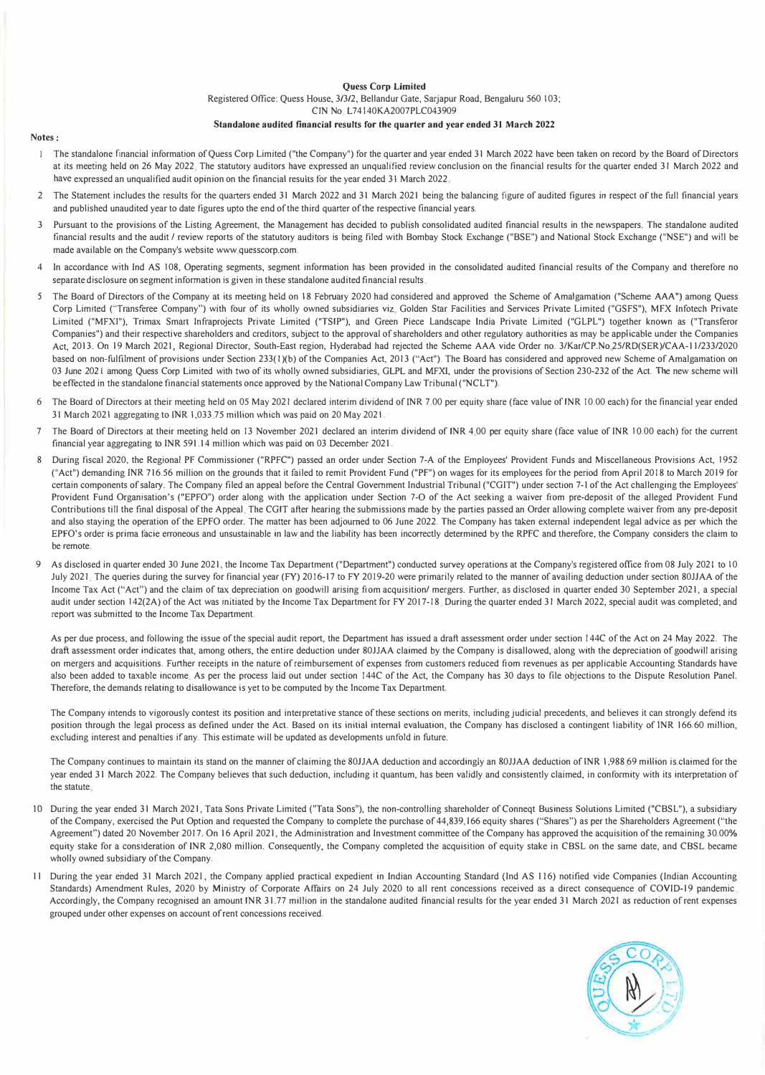#### **Quess Corp Limited**

Registered Office: Quess House, 3/3/2, Bellandur Gate, Sarjapur Road, Bengaluru 560 103;

CIN No L74l40KA2007PLC043909

#### **Standalone audited financial results for the quarter and year ended 31 March 2022**

#### **Notes:**

- The standalone financial information ofQuess Corp Limited ("the Company") for the quarter and year ended 31 March 2022 have been taken on record by the Board of Directors at its meeting held on 26 May 2022 The statutory auditors have expressed an unqualified review conclusion on the financial results for the quarter ended 31 March 2022 and have expressed an unqualified audit opinion on the financial results for the year ended 31 March 2022
- 2 The Statement includes the results for the quarters ended 31 March 2022 and 31 March 2021 being the balancing figure of audited figures in respect of the full financial years and published unaudited year to date figures upto the end of the third quarter of the respective financial years.
- 3 Pursuant to the provisions of the Listing Agreement, the Management has decided to publish consolidated audited financial results in the newspapers. The standalone audited financial results and the audit / review reports of the statutory auditors is being filed with Bombay Stock Exchange ("BSE") and National Stock Exchange ("NSE") and will be made available on the Company's website www quesscorp.com.
- In accordance with Ind AS 108, Operating segments, segment information has been provided in the consolidated audited financial results of the Company and therefore no separate disclosure on segment information is given in these standalone audited financial results
- *5* The Board of Directors of the Company at its meeting held on 18 February 2020 had considered and approved the Scheme of Amalgamation ("Scheme **AAA")** among Quess Corp Limited ("Transferee Company") with four of its wholly owned subsidiaries viz Golden Star Facilities and Services Private Limited ("GSFS"), MFX lnfotech Private Limited ("MFXI"), Trimax Smart lnfraprojects Private Limited ("TSIP"), and Green Piece Landscape India Private Limited ("GLPL") together known as ("Transferor Companies") and their respective shareholders and creditors, subject to the approval of shareholders and other regulatory authorities as may be applicable under the Companies Act, 2013. On 19 March 2021, Regional Director, South-East region, Hyderabad had rejected the Scheme AAA vide Order no. 3/Kar/CP.No 25/RD(SER)/CAA-11 /233/2020 based on non-fulfilment of provisions under Section 233(1)(b) of the Companies Act, 2013 ("Act"). The Board has considered and approved new Scheme of Amalgamation on 03 June 2021 among Quess Corp Limited with two of its wholly owned subsidiaries, GLPL and MFXI, under the provisions of Section 230-232 of the Act. The new scheme will be effected in the standalone financial statements once approved by the National Company Law Tribunal ("NCLT").
- 6 The Board of Directors at their meeting held on 05 May 2021 declared interim dividend of INR 7 .00 per equity share (face value of INR I 0.00 each) for the financial year ended 31 March 2021 aggregating to JNR 1,033 75 million which was paid on 20 May 2021,
- 7 The Board of Directors at their meeting held on 13 November 2021 declared an interim dividend of INR 4 00 per equity share (face value of INR I 0,00 each) for the current financial year aggregating to INR 591, 14 million which was paid on 03 December 2021.
- 8 During fiscal 2020, the Regional PF Commissioner ("RPFC") passed an order under Section 7-A of the Employees' Provident Funds and Miscellaneous Provisions Act, 1952 ("Act") demanding **INR** 716.56 million on the grounds that it failed to remit Provident Fund ("PF") on wages for its employees for the period from April 2018 to March 2019 for certain components of salary. The Company filed an appeal before the Central Government Industrial Tribunal ("CGIT") under section 7-1 of the Act challenging the Employees' Provident Fund Organisation's ("EPFO") order along with the application under Section 7-0 of the Act seeking a waiver from pre-deposit of the alleged Provident Fund Contributions till the final disposal of the Appeal The CGIT after hearing the submissions made by the parties passed an Order allowing complete waiver from any pre-deposit and also staying the operation of the EPFO order. The matter has been adjourned to 06 June 2022. The Company has taken external independent legal advice as per which the EPFO's order is prima facie erroneous and unsustainable in law and the liability has been incorrectly determined by the RPFC and therefore, the Company considers the claim to be remote.
- As disclosed in quarter ended 30 June 2021, the Income Tax Department ("Department") conducted survey operations at the Company's registered office from 08 July 2021 to 10 July 2021. The queries during the survey for financial year (FY) 2016-17 to FY 2019-20 were primarily related to the manner of availing deduction under section 80JJAA of the Income Tax Act ("Act") and the claim of tax depreciation on goodwill arising from acquisition/ mergers. Further, as disclosed in quarter ended 30 September 2021, a special audit under section 142(2A) of the Act was initiated by the Income Tax Department for FY 2017-18. During the quarter ended 31 March 2022, special audit was completed; and report was submitted to the Income Tax Department.

As per due process, and following the issue of the special audit report, the Department has issued a draft assessment order under section 144C of the Act on 24 May 2022. The draft assessment order indicates that, among others, the entire deduction under 80JJAA claimed by the Company is disallowed, along with the depreciation of goodwill arising on mergers and acquisitions, Further receipts in the nature of reimbursement of expenses from customers reduced from revenues as per applicable Accounting Standards have also been added to taxable income As per the process laid out under section I 44C of the Act, the Company has 30 days to file objections to the Dispute Resolution Panel. Therefore, the demands relating to disallowance is yet to be computed by the Income Tax Department.

The Company intends to vigorously contest its position and interpretative stance of these sections on merits, including judicial precedents, and believes it can strongly defend its position through the legal process as defined under the Act. Based on its initial internal evaluation, the Company has disclosed a contingent liability of INR 166,60 million, excluding interest and penalties if any. This estimate will be updated as developments unfold in future.

The Company continues to maintain its stand on the manner of claiming the 80JJAA deduction and accordingly an &0JJAA deduction of INR 1,988 69 million is claimed for the year ended 31 March 2022, The Company believes that such deduction, including it quantum, has been validly and consistently claimed, in conformity with its interpretation of the statute

- IO During the year ended 31 March 2021, Tata Sons Private Limited ("Tata Sons"), the non-controlling shareholder of Conneqt Business Solutions Limited ("CBSL"), a subsidiary of the Company, exercised the Put Option and requested the Company to complete the purchase of 44,839,166 equity shares ("Shares") as per the Shareholders Agreement ("the Agreement") dated 20 November 2017. On 16 April 2021, the Administration and Investment committee of the Company has approved the acquisition of the remaining 30.00% equity stake for a consideration of INR 2,080 million. Consequently, the Company completed the acquisition of equity stake in CBSL on the same date, and CBSL became wholly owned subsidiary of the Company,
- 11 During the year ended 31 March 2021, the Company applied practical expedient in Indian Accounting Standard (Ind AS 116) notified vide Companies (Indian Accounting Standards) Amendment Rules, 2020 by Ministry of Corporate Affairs on 24 July 2020 to all rent concessions received as a direct consequence of COVID-19 pandemic Accordingly, the Company recognised an amount INR 31.77 million in the standalone audited financial results for the year ended 31 March 2021 as reduction of rent expenses grouped under other expenses on account of rent concessions received.

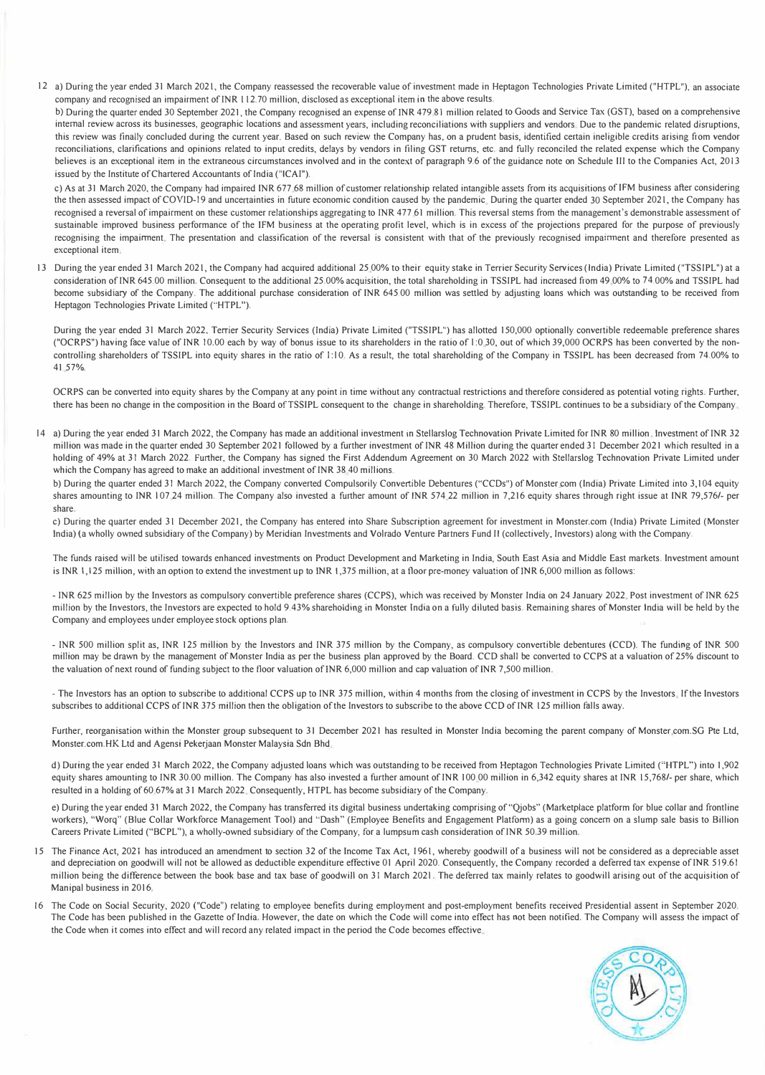12 a) During the year ended 31 March 2021, the Company reassessed the recoverable value of investment made in Heptagon Technologies Private Limited ("HTPL"), an associate company and recognised an impairment of INR 112. 70 million, disclosed as exceptional item in the above results.

b) During the quarter ended 30 September 2021, the Company recognised an expense of JNR 479 81 million related to Goods and Service Tax (GST), based on a comprehensive internal review across its businesses, geographic locations and assessment years, including reconciliations with suppliers and vendors Due to the pandemic related disruptions, this review was finally concluded during the current year. Based on such review the Company has, on a prudent basis, identified certain ineligible credits arising from vendor reconciliations, clarifications and opinions related to input credits, delays by vendors in filing GST returns, etc. and fully reconciled the related expense which the Company believes is an exceptional item in the extraneous circumstances involved and in the context of paragraph 9,6 of the guidance note on Schedule III to the Companies Act, 2013 issued by the Institute of Chartered Accountants of India ("!CAI").

c) As at 31 March 2020, the Company had impaired INR 677 68 million of customer relationship related intangible assets from its acquisitions of IFM business after considering the then assessed impact of COVID-19 and uncertainties in future economic condition caused by the pandemic During the quarter ended 30 September 2021, the Company has recognised a reversal of impairment on these customer relationships aggregating to INR 477.61 million. This reversal stems from the management's demonstrable assessment of sustainable improved business performance of the !FM business at the operating profit level, which is in excess of the projections prepared for the purpose of previously recognising the impairment The presentation and classification of the reversal is consistent with that of the previously recognised impairment and therefore presented as exceptional item

13 During the year ended 31 March 2021, the Company had acquired additional 25 00% to their equity stake in Terrier Security Services (India) Private Limited ("TSSIPL") at a consideration of INR 645.00 million. Consequent to the additional 25.00% acquisition, the total shareholding in TSSIPL had increased from 49 00% to 74.00% and TSSIPL had become subsidiary of the Company. The additional purchase consideration of INR 645.00 million was settled by adjusting loans which was outstanding to be received from Heptagon Technologies Private Limited ("HTPL").

During the year ended 31 March 2022. Terrier Security Services (India) Private Limited ("TSSIPL") has allotted 150,000 optionally convertible redeemable preference shares ("OCRPS") having face value of INR 10.00 each by way of bonus issue to its shareholders in the ratio of l :0 30, out of which 39,000 OCRPS has been converted by the noncontrolling shareholders of TSSIPL into equity shares in the ratio of 1:10. As a result, the total shareholding of the Company in TSSIPL has been decreased from 74.00% to 41 57%,

OCRPS can be converted into equity shares by the Company at any point in time without any contractual restrictions and therefore considered as potential voting rights. Further, there has been no change in the composition in the Board of TSSIPL consequent to the change in shareholding. Therefore, TSSIPL continues to be a subsidiary of the Company

14 a) During the year ended 31 March 2022, the Company has made an additional investment in Stellarslog Technovation Private Limited for INR 80 million. Investment of INR 32 million was made in the quarter ended 30 September 2021 followed by a further investment of INR 48 Million during the quarter ended 31 December 2021 which resulted in a holding of 49% at 31 March 2022. Further, the Company has signed the First Addendum Agreement on 30 March 2022 with Stellarslog Technovation Private Limited under which the Company has agreed to make an additional investment of INR 38 40 millions.

b) During the quarter ended 31 March 2022, the Company converted Compulsorily Convertible Debentures ("CCDs") of Monster com (India) Private Limited into 3,104 equity shares amounting to INR 107.24 million. The Company also invested a further amount of INR 574.22 million in 7,216 equity shares through right issue at INR 79,576/- per share.

c) During the quarter ended 31 December 2021, the Company has entered into Share Subscription agreement for investment in Monster.com (India) Private Limited (Monster India) (a wholly owned subsidiary of the Company) by Meridian Investments and Volrado Venture Partners Fund II (collectively, Investors) along with the Company.

The funds raised will be utilised towards enhanced investments on Product Development and Marketing in India, South East Asia and Middle East markets. Investment amount is INR l, 125 million, with an option to extend the investment up to INR 1,375 million, at a floor pre-money valuation of JNR 6,000 million as follows:

- INR 625 million by the Investors as compulsory convertible preference shares (CCPS), which was received by Monster India on 24 January 2022 Post investment of INR 625 million by the Investors, the Investors are expected to hold 9.43% shareholding in Monster India on a fully diluted basis, Remaining shares of Monster India will be held by the Company and employees under employee stock options plan.

- INR 500 million split as, INR 125 million by the Investors and INR 375 million by the Company, as compulsory convertible debentures (CCD). The funding of INR 500 million may be drawn by the management of Monster India as per the business plan approved by the Board. CCD shall be converted to CCPS at a valuation of 25% discount to the valuation of next round of funding subject to the floor valuation of INR 6,000 million and cap valuation of INR 7,500 million.

- The Investors has an option to subscribe to additional CCPS up to INR 375 million, within 4 months from the closing of investment in CCPS by the Investors If the Investors subscribes to additional CCPS of INR 375 million then the obligation of the Investors to subscribe to the above CCD of INR 125 million falls away.

Further, reorganisation within the Monster group subsequent to 31 December 2021 has resulted in Monster India becoming the parent company of Monster com.SG Pte Ltd, Monster.com.HK Ltd and Agensi Pekerjaan Monster Malaysia Sdn Bhd

d) During the year ended 31 March 2022, the Company adjusted loans which was outstanding to be received from Heptagon Technologies Private Limited ("HTPL") into 1,902 equity shares amounting to INR 30.00 million. The Company has also invested a further amount of INR 100.00 million in 6,342 equity shares at INR 15,768/- per share, which resulted in a holding of 60 67% at 31 March 2022 Consequently, HTPL has become subsidiary of the Company.

e) During the year ended 31 March 2022, the Company has transferred its digital business undertaking comprising of "Qjobs" (Marketplace platform for blue collar and frontline workers), "Worq" (Blue Collar Workforce Management Tool) and "Dash" (Employee Benefits and Engagement Platform) as a going concern on a slump sale basis to Billion Careers Private Limited ("BCPL"), a wholly-owned subsidiary of the Company, for a lumpsum cash consideration of INR 50.39 million.

- 15 The Finance Act, 2021 has introduced an amendment to section 32 of the Income Tax Act, I 961, whereby goodwill of a business will not be considered as a depreciable asset and depreciation on goodwill will not be allowed as deductible expenditure effective 01 April 2020. Consequently, the Company recorded a deferred tax expense of INR 519.61 million being the difference between the book base and tax base of goodwill on 31 March 2021. The deferred tax mainly relates to goodwill arising out of the acquisition of Manipal business in 2016,
- 16 The Code on Social Security, 2020 ("Code") relating to employee benefits during employment and post-employment benefits received Presidential assent in September 2020. The Code has been published in the Gazette of India. However, the date on which the Code will come into effect has not been notified. The Company will assess the impact of the Code when it comes into effect and will record any related impact in the period the Code becomes effective